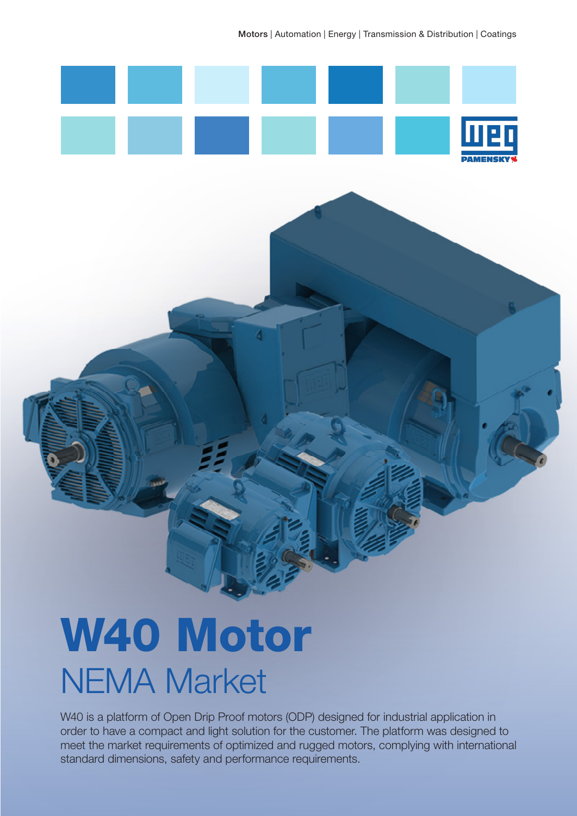Motors | Automation | Energy | Transmission & Distribution | Coatings



# NIENAA Marica NEMA Market W40 Motor

W40 is a platform of Open Drip Proof motors (ODP) designed for industrial application in order to have a compact and light solution for the customer. The platform was designed to meet the market requirements of optimized and rugged motors, complying with international standard dimensions, safety and performance requirements.